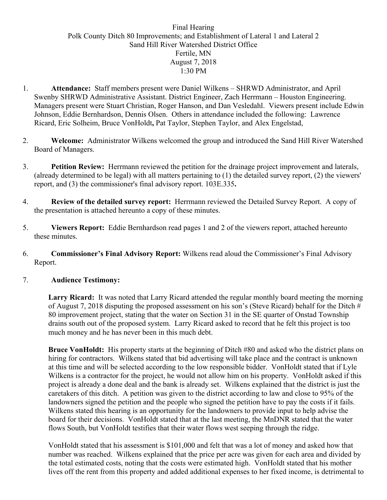## Final Hearing Polk County Ditch 80 Improvements; and Establishment of Lateral 1 and Lateral 2 Sand Hill River Watershed District Office Fertile, MN August 7, 2018 1:30 PM

- 1. **Attendance:** Staff members present were Daniel Wilkens SHRWD Administrator, and April Swenby SHRWD Administrative Assistant. District Engineer, Zach Herrmann – Houston Engineering. Managers present were Stuart Christian, Roger Hanson, and Dan Vesledahl. Viewers present include Edwin Johnson, Eddie Bernhardson, Dennis Olsen. Others in attendance included the following: Lawrence Ricard, Eric Solheim, Bruce VonHoldt**,** Pat Taylor, Stephen Taylor, and Alex Engelstad,
- 2. **Welcome:** Administrator Wilkens welcomed the group and introduced the Sand Hill River Watershed Board of Managers.
- 3. **Petition Review:** Herrmann reviewed the petition for the drainage project improvement and laterals, (already determined to be legal) with all matters pertaining to (1) the detailed survey report, (2) the viewers' report, and (3) the commissioner's final advisory report. 103E.335**.**
- 4. **Review of the detailed survey report:** Herrmann reviewed the Detailed Survey Report. A copy of the presentation is attached hereunto a copy of these minutes.
- 5. **Viewers Report:** Eddie Bernhardson read pages 1 and 2 of the viewers report, attached hereunto these minutes.
- 6. **Commissioner's Final Advisory Report:** Wilkens read aloud the Commissioner's Final Advisory Report.

## 7. **Audience Testimony:**

**Larry Ricard:** It was noted that Larry Ricard attended the regular monthly board meeting the morning of August 7, 2018 disputing the proposed assessment on his son's (Steve Ricard) behalf for the Ditch  $#$ 80 improvement project, stating that the water on Section 31 in the SE quarter of Onstad Township drains south out of the proposed system. Larry Ricard asked to record that he felt this project is too much money and he has never been in this much debt.

**Bruce VonHoldt:** His property starts at the beginning of Ditch #80 and asked who the district plans on hiring for contractors. Wilkens stated that bid advertising will take place and the contract is unknown at this time and will be selected according to the low responsible bidder. VonHoldt stated that if Lyle Wilkens is a contractor for the project, he would not allow him on his property. VonHoldt asked if this project is already a done deal and the bank is already set. Wilkens explained that the district is just the caretakers of this ditch. A petition was given to the district according to law and close to 95% of the landowners signed the petition and the people who signed the petition have to pay the costs if it fails. Wilkens stated this hearing is an opportunity for the landowners to provide input to help advise the board for their decisions. VonHoldt stated that at the last meeting, the MnDNR stated that the water flows South, but VonHoldt testifies that their water flows west seeping through the ridge.

VonHoldt stated that his assessment is \$101,000 and felt that was a lot of money and asked how that number was reached. Wilkens explained that the price per acre was given for each area and divided by the total estimated costs, noting that the costs were estimated high. VonHoldt stated that his mother lives off the rent from this property and added additional expenses to her fixed income, is detrimental to